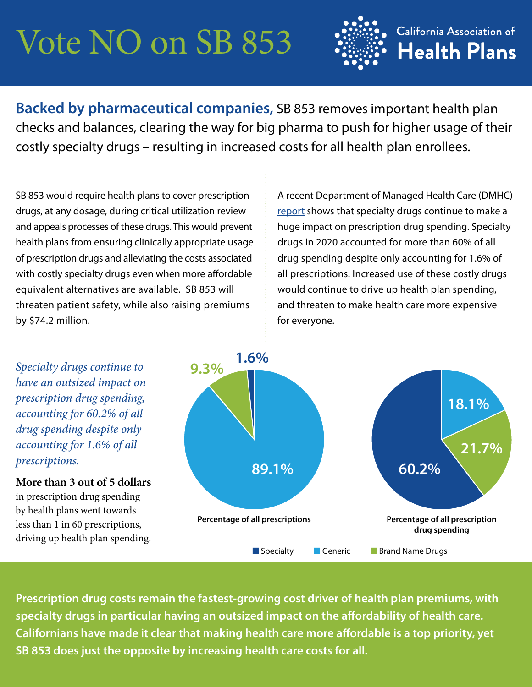# Vote NO on SB 853



**Backed by pharmaceutical companies,** SB 853 removes important health plan checks and balances, clearing the way for big pharma to push for higher usage of their costly specialty drugs – resulting in increased costs for all health plan enrollees.

SB 853 would require health plans to cover prescription drugs, at any dosage, during critical utilization review and appeals processes of these drugs. This would prevent health plans from ensuring clinically appropriate usage of prescription drugs and alleviating the costs associated with costly specialty drugs even when more affordable equivalent alternatives are available. SB 853 will threaten patient safety, while also raising premiums by \$74.2 million.

A recent Department of Managed Health Care (DMHC) [report](https://www.dmhc.ca.gov/portals/0/Docs/DO/SB17-2020ReportAccessible.pdf) shows that specialty drugs continue to make a huge impact on prescription drug spending. Specialty drugs in 2020 accounted for more than 60% of all drug spending despite only accounting for 1.6% of all prescriptions. Increased use of these costly drugs would continue to drive up health plan spending, and threaten to make health care more expensive for everyone.

*Specialty drugs continue to have an outsized impact on prescription drug spending, accounting for 60.2% of all drug spending despite only accounting for 1.6% of all prescriptions.* 

**More than 3 out of 5 dollars**  in prescription drug spending by health plans went towards less than 1 in 60 prescriptions, driving up health plan spending.



**Prescription drug costs remain the fastest-growing cost driver of health plan premiums, with specialty drugs in particular having an outsized impact on the affordability of health care. Californians have made it clear that making health care more affordable is a top priority, yet SB 853 does just the opposite by increasing health care costs for all.**